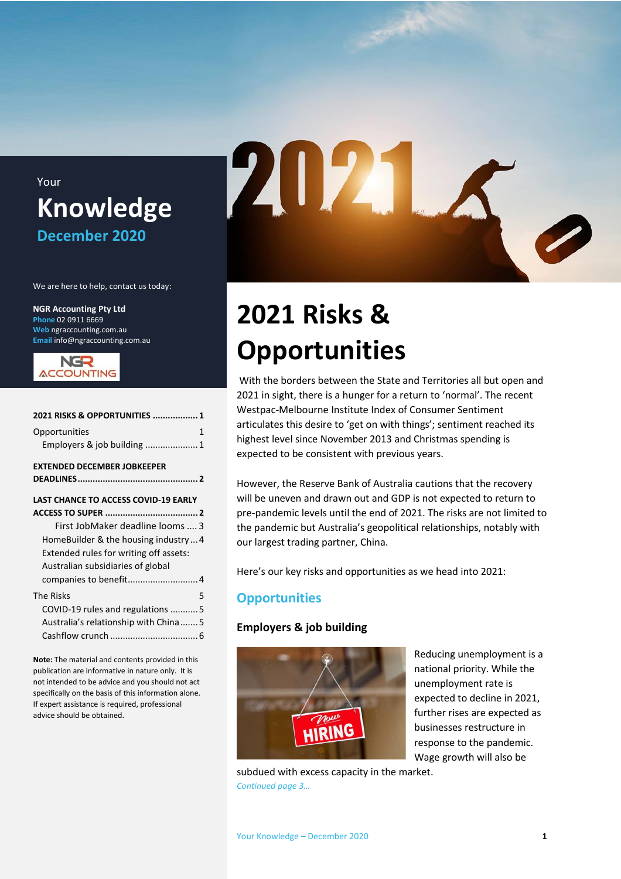### Your **Knowledge December 2020**

We are here to help, contact us today:

**NGR Accounting Pty Ltd Phone** 02 0911 6669 **Web** ngraccounting.com.au **Email** info@ngraccounting.com.au



| 2021 RISKS & OPPORTUNITIES  1               |
|---------------------------------------------|
| Opportunities<br>1                          |
| Employers & job building 1                  |
| EXTENDED DECEMBER JOBKEEPER                 |
|                                             |
| <b>LAST CHANCE TO ACCESS COVID-19 EARLY</b> |
|                                             |
| First JobMaker deadline looms  3            |
| HomeBuilder & the housing industry4         |
| Extended rules for writing off assets:      |
| Australian subsidiaries of global           |
| companies to benefit 4                      |
| The Risks<br>5                              |
| COVID-19 rules and regulations 5            |
| Australia's relationship with China5        |
|                                             |
|                                             |

**Note:** The material and contents provided in this publication are informative in nature only. It is not intended to be advice and you should not act specifically on the basis of this information alone. If expert assistance is required, professional advice should be obtained.

# 2021

# <span id="page-0-0"></span>**2021 Risks & Opportunities**

With the borders between the State and Territories all but open and 2021 in sight, there is a hunger for a return to 'normal'. The recent Westpac-Melbourne Institute Index of Consumer Sentiment articulates this desire to 'get on with things'; sentiment reached its highest level since November 2013 and Christmas spending is expected to be consistent with previous years.

However, the Reserve Bank of Australia cautions that the recovery will be uneven and drawn out and GDP is not expected to return to pre-pandemic levels until the end of 2021. The risks are not limited to the pandemic but Australia's geopolitical relationships, notably with our largest trading partner, China.

Here's our key risks and opportunities as we head into 2021:

#### <span id="page-0-1"></span>**Opportunities**

#### <span id="page-0-2"></span>**Employers & job building**



Reducing unemployment is a national priority. While the unemployment rate is expected to decline in 2021, further rises are expected as businesses restructure in response to the pandemic. Wage growth will also be

subdued with excess capacity in the market. *Continued page 3…*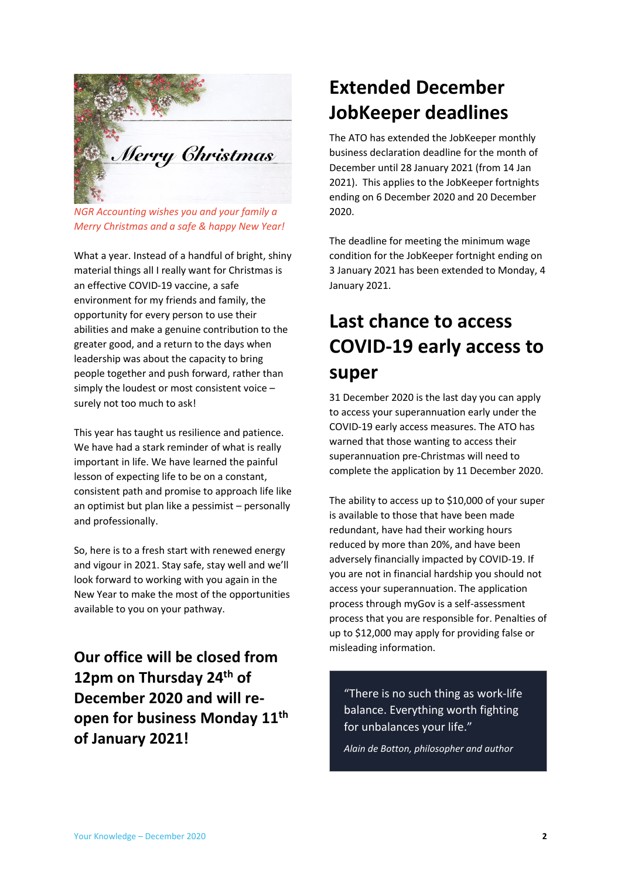

*NGR Accounting wishes you and your family a Merry Christmas and a safe & happy New Year!*

What a year. Instead of a handful of bright, shiny material things all I really want for Christmas is an effective COVID-19 vaccine, a safe environment for my friends and family, the opportunity for every person to use their abilities and make a genuine contribution to the greater good, and a return to the days when leadership was about the capacity to bring people together and push forward, rather than simply the loudest or most consistent voice – surely not too much to ask!

This year has taught us resilience and patience. We have had a stark reminder of what is really important in life. We have learned the painful lesson of expecting life to be on a constant, consistent path and promise to approach life like an optimist but plan like a pessimist – personally and professionally.

So, here is to a fresh start with renewed energy and vigour in 2021. Stay safe, stay well and we'll look forward to working with you again in the New Year to make the most of the opportunities available to you on your pathway.

**Our office will be closed from 12pm on Thursday 24th of December 2020 and will reopen for business Monday 11th of January 2021!**

# <span id="page-1-0"></span>**Extended December JobKeeper deadlines**

The ATO has extended the JobKeeper monthly business declaration deadline for the month of December until 28 January 2021 (from 14 Jan 2021). This applies to the JobKeeper fortnights ending on 6 December 2020 and 20 December 2020.

The deadline for meeting the minimum wage condition for the JobKeeper fortnight ending on 3 January 2021 has been extended to Monday, 4 January 2021.

# <span id="page-1-1"></span>**Last chance to access COVID-19 early access to super**

31 December 2020 is the last day you can apply to access your superannuation early under the COVID-19 early access measures. The ATO has warned that those wanting to access their superannuation pre-Christmas will need to complete the application by 11 December 2020.

The ability to access up to \$10,000 of your super is available to those that have been made redundant, have had their working hours reduced by more than 20%, and have been adversely financially impacted by COVID-19. If you are not in financial hardship you should not access your superannuation. The application process through myGov is a self-assessment process that you are responsible for. Penalties of up to \$12,000 may apply for providing false or misleading information.

"There is no such thing as work-life balance. Everything worth fighting for unbalances your life."

*Alain de Botton, philosopher and author*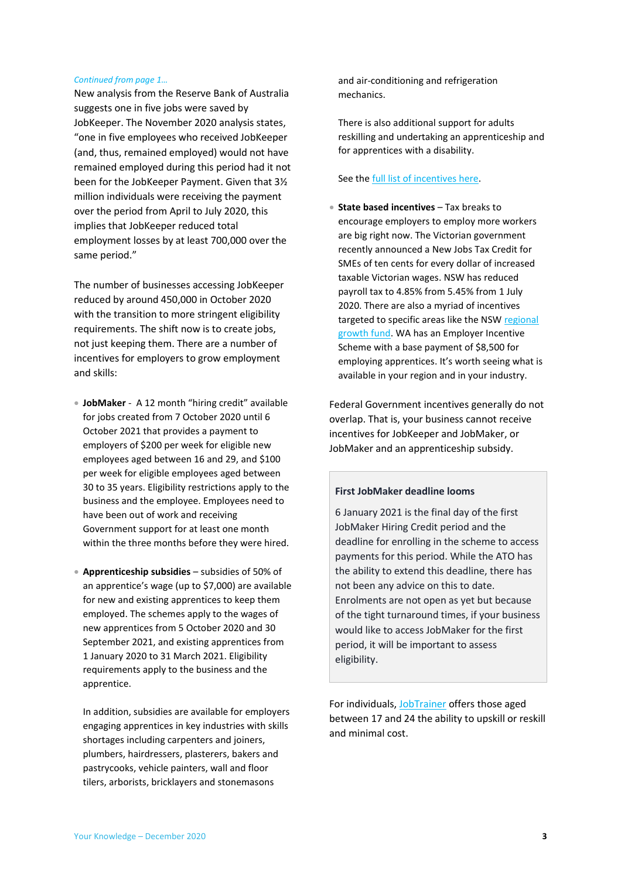#### *Continued from page 1…*

New analysis from the Reserve Bank of Australia suggests one in five jobs were saved by JobKeeper. The November 2020 analysis states, "one in five employees who received JobKeeper (and, thus, remained employed) would not have remained employed during this period had it not been for the JobKeeper Payment. Given that 3½ million individuals were receiving the payment over the period from April to July 2020, this implies that JobKeeper reduced total employment losses by at least 700,000 over the same period."

The number of businesses accessing JobKeeper reduced by around 450,000 in October 2020 with the transition to more stringent eligibility requirements. The shift now is to create jobs, not just keeping them. There are a number of incentives for employers to grow employment and skills:

• **JobMaker** - A 12 month "hiring credit" available for jobs created from 7 October 2020 until 6 October 2021 that provides a payment to employers of \$200 per week for eligible new employees aged between 16 and 29, and \$100 per week for eligible employees aged between 30 to 35 years. Eligibility restrictions apply to the business and the employee. Employees need to have been out of work and receiving Government support for at least one month within the three months before they were hired.

• **Apprenticeship subsidies** – subsidies of 50% of an apprentice's wage (up to \$7,000) are available for new and existing apprentices to keep them employed. The schemes apply to the wages of new apprentices from 5 October 2020 and 30 September 2021, and existing apprentices from 1 January 2020 to 31 March 2021. Eligibility requirements apply to the business and the apprentice.

In addition, subsidies are available for employers engaging apprentices in key industries with skills shortages including carpenters and joiners, plumbers, hairdressers, plasterers, bakers and pastrycooks, vehicle painters, wall and floor tilers, arborists, bricklayers and stonemasons

and air-conditioning and refrigeration mechanics.

There is also additional support for adults reskilling and undertaking an apprenticeship and for apprentices with a disability.

#### See th[e full list of incentives here.](https://www.australianapprenticeships.gov.au/sites/default/files/2020-10/AAIP%20summary%20update%2020201020.pdf)

• **State based incentives** – Tax breaks to encourage employers to employ more workers are big right now. The Victorian government recently announced a New Jobs Tax Credit for SMEs of ten cents for every dollar of increased taxable Victorian wages. NSW has reduced payroll tax to 4.85% from 5.45% from 1 July 2020. There are also a myriad of incentives targeted to specific areas like the NSW [regional](https://nsw.liberal.org.au/Shared-Content/News/2020/$100-MILLION-REGIONAL-JOB-CREATION-FUND)  [growth fund.](https://nsw.liberal.org.au/Shared-Content/News/2020/$100-MILLION-REGIONAL-JOB-CREATION-FUND) WA has an Employer Incentive Scheme with a base payment of \$8,500 for employing apprentices. It's worth seeing what is available in your region and in your industry.

Federal Government incentives generally do not overlap. That is, your business cannot receive incentives for JobKeeper and JobMaker, or JobMaker and an apprenticeship subsidy.

#### <span id="page-2-0"></span>**First JobMaker deadline looms**

6 January 2021 is the final day of the first JobMaker Hiring Credit period and the deadline for enrolling in the scheme to access payments for this period. While the ATO has the ability to extend this deadline, there has not been any advice on this to date. Enrolments are not open as yet but because of the tight turnaround times, if your business would like to access JobMaker for the first period, it will be important to assess eligibility.

For individuals[, JobTrainer](https://www.myskills.gov.au/jobtrainer) offers those aged between 17 and 24 the ability to upskill or reskill and minimal cost.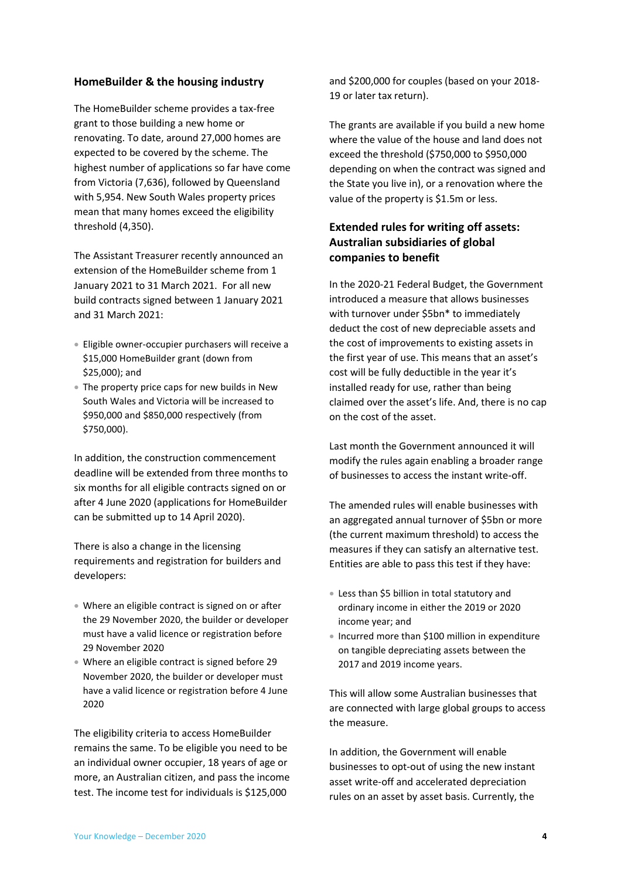#### <span id="page-3-0"></span>**HomeBuilder & the housing industry**

The HomeBuilder scheme provides a tax-free grant to those building a new home or renovating. To date, around 27,000 homes are expected to be covered by the scheme. The highest number of applications so far have come from Victoria (7,636), followed by Queensland with 5,954. New South Wales property prices mean that many homes exceed the eligibility threshold (4,350).

The Assistant Treasurer recently announced an extension of the HomeBuilder scheme from 1 January 2021 to 31 March 2021. For all new build contracts signed between 1 January 2021 and 31 March 2021:

- Eligible owner-occupier purchasers will receive a \$15,000 HomeBuilder grant (down from \$25,000); and
- The property price caps for new builds in New South Wales and Victoria will be increased to \$950,000 and \$850,000 respectively (from \$750,000).

In addition, the construction commencement deadline will be extended from three months to six months for all eligible contracts signed on or after 4 June 2020 (applications for HomeBuilder can be submitted up to 14 April 2020).

There is also a change in the licensing requirements and registration for builders and developers:

- Where an eligible contract is signed on or after the 29 November 2020, the builder or developer must have a valid licence or registration before 29 November 2020
- Where an eligible contract is signed before 29 November 2020, the builder or developer must have a valid licence or registration before 4 June 2020

The eligibility criteria to access HomeBuilder remains the same. To be eligible you need to be an individual owner occupier, 18 years of age or more, an Australian citizen, and pass the income test. The income test for individuals is \$125,000

and \$200,000 for couples (based on your 2018- 19 or later tax return).

The grants are available if you build a new home where the value of the house and land does not exceed the threshold (\$750,000 to \$950,000 depending on when the contract was signed and the State you live in), or a renovation where the value of the property is \$1.5m or less.

#### <span id="page-3-1"></span>**Extended rules for writing off assets: Australian subsidiaries of global companies to benefit**

In the 2020-21 Federal Budget, the Government introduced a measure that allows businesses with turnover under \$5bn\* to immediately deduct the cost of new depreciable assets and the cost of improvements to existing assets in the first year of use. This means that an asset's cost will be fully deductible in the year it's installed ready for use, rather than being claimed over the asset's life. And, there is no cap on the cost of the asset.

Last month the Government announced it will modify the rules again enabling a broader range of businesses to access the instant write-off.

The amended rules will enable businesses with an aggregated annual turnover of \$5bn or more (the current maximum threshold) to access the measures if they can satisfy an alternative test. Entities are able to pass this test if they have:

- Less than \$5 billion in total statutory and ordinary income in either the 2019 or 2020 income year; and
- Incurred more than \$100 million in expenditure on tangible depreciating assets between the 2017 and 2019 income years.

This will allow some Australian businesses that are connected with large global groups to access the measure.

In addition, the Government will enable businesses to opt-out of using the new instant asset write-off and accelerated depreciation rules on an asset by asset basis. Currently, the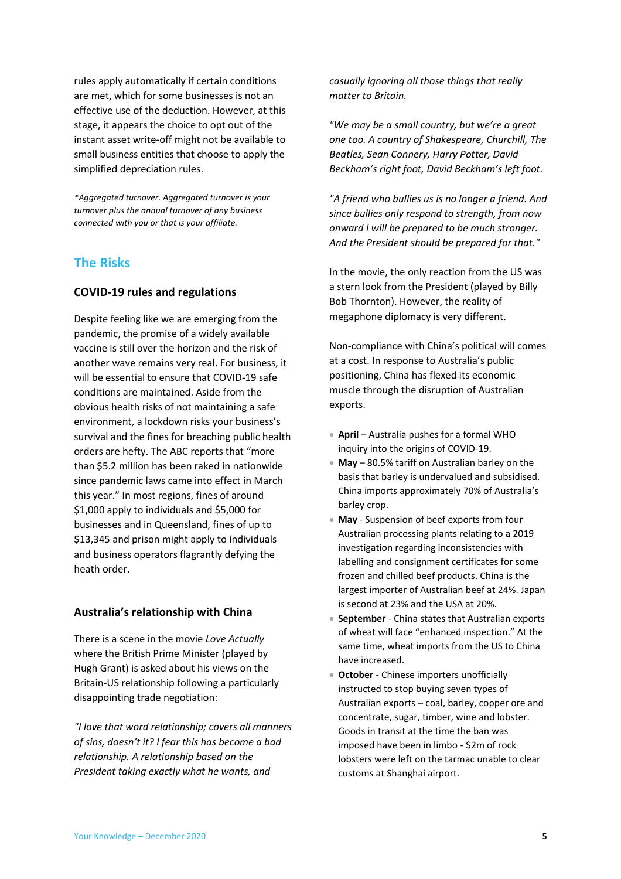rules apply automatically if certain conditions are met, which for some businesses is not an effective use of the deduction. However, at this stage, it appears the choice to opt out of the instant asset write-off might not be available to small business entities that choose to apply the simplified depreciation rules.

*\*Aggregated turnover. Aggregated turnover is your turnover plus the annual turnover of any business connected with you or that is your affiliate.*

#### <span id="page-4-0"></span>**The Risks**

#### <span id="page-4-1"></span>**COVID-19 rules and regulations**

Despite feeling like we are emerging from the pandemic, the promise of a widely available vaccine is still over the horizon and the risk of another wave remains very real. For business, it will be essential to ensure that COVID-19 safe conditions are maintained. Aside from the obvious health risks of not maintaining a safe environment, a lockdown risks your business's survival and the fines for breaching public health orders are hefty. The ABC reports that "more than \$5.2 million has been raked in nationwide since pandemic laws came into effect in March this year." In most regions, fines of around \$1,000 apply to individuals and \$5,000 for businesses and in Queensland, fines of up to \$13,345 and prison might apply to individuals and business operators flagrantly defying the heath order.

#### <span id="page-4-2"></span>**Australia's relationship with China**

There is a scene in the movie *Love Actually* where the British Prime Minister (played by Hugh Grant) is asked about his views on the Britain-US relationship following a particularly disappointing trade negotiation:

*"I love that word relationship; covers all manners of sins, doesn't it? I fear this has become a bad relationship. A relationship based on the President taking exactly what he wants, and* 

*casually ignoring all those things that really matter to Britain.*

*"We may be a small country, but we're a great one too. A country of Shakespeare, Churchill, The Beatles, Sean Connery, Harry Potter, David Beckham's right foot, David Beckham's left foot.*

*"A friend who bullies us is no longer a friend. And since bullies only respond to strength, from now onward I will be prepared to be much stronger. And the President should be prepared for that."* 

In the movie, the only reaction from the US was a stern look from the President (played by Billy Bob Thornton). However, the reality of megaphone diplomacy is very different.

Non-compliance with China's political will comes at a cost. In response to Australia's public positioning, China has flexed its economic muscle through the disruption of Australian exports.

- **April** Australia pushes for a formal WHO inquiry into the origins of COVID-19.
- **May** 80.5% tariff on Australian barley on the basis that barley is undervalued and subsidised. China imports approximately 70% of Australia's barley crop.
- **May** Suspension of beef exports from four Australian processing plants relating to a 2019 investigation regarding inconsistencies with labelling and consignment certificates for some frozen and chilled beef products. China is the largest importer of Australian beef at 24%. Japan is second at 23% and the USA at 20%.
- **September** China states that Australian exports of wheat will face "enhanced inspection." At the same time, wheat imports from the US to China have increased.
- **October** Chinese importers unofficially instructed to stop buying seven types of Australian exports – coal, barley, copper ore and concentrate, sugar, timber, wine and lobster. Goods in transit at the time the ban was imposed have been in limbo - \$2m of rock lobsters were left on the tarmac unable to clear customs at Shanghai airport.